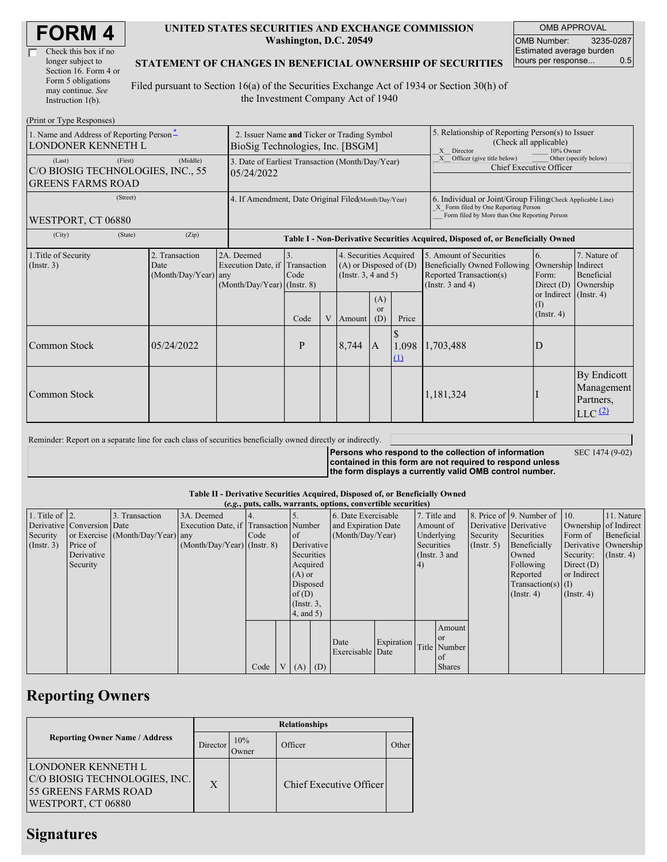| Check this box if no  |
|-----------------------|
| longer subject to     |
| Section 16. Form 4 or |
| Form 5 obligations    |
| may continue. See     |
| Instruction 1(b).     |

### **UNITED STATES SECURITIES AND EXCHANGE COMMISSION Washington, D.C. 20549**

OMB APPROVAL OMB Number: 3235-0287 Estimated average burden hours per response... 0.5

SEC 1474 (9-02)

## **STATEMENT OF CHANGES IN BENEFICIAL OWNERSHIP OF SECURITIES**

Filed pursuant to Section 16(a) of the Securities Exchange Act of 1934 or Section 30(h) of the Investment Company Act of 1940

| (Print or Type Responses)                                               |                                                                                 |                                                |                                                                               |                                                                                  |   |                                                                                                                                    |                                                                                                                                                    |                   |                                                                                                             |                                                                                    |                                                                         |  |
|-------------------------------------------------------------------------|---------------------------------------------------------------------------------|------------------------------------------------|-------------------------------------------------------------------------------|----------------------------------------------------------------------------------|---|------------------------------------------------------------------------------------------------------------------------------------|----------------------------------------------------------------------------------------------------------------------------------------------------|-------------------|-------------------------------------------------------------------------------------------------------------|------------------------------------------------------------------------------------|-------------------------------------------------------------------------|--|
| 1. Name and Address of Reporting Person-<br>LONDONER KENNETH L          | 2. Issuer Name and Ticker or Trading Symbol<br>BioSig Technologies, Inc. [BSGM] |                                                |                                                                               |                                                                                  |   |                                                                                                                                    | 5. Relationship of Reporting Person(s) to Issuer<br>(Check all applicable)<br>X Director<br>10% Owner                                              |                   |                                                                                                             |                                                                                    |                                                                         |  |
| (Last)<br>C/O BIOSIG TECHNOLOGIES, INC., 55<br><b>GREENS FARMS ROAD</b> | 3. Date of Earliest Transaction (Month/Day/Year)<br>05/24/2022                  |                                                |                                                                               |                                                                                  |   |                                                                                                                                    | Officer (give title below)<br>Other (specify below)<br>X<br>Chief Executive Officer                                                                |                   |                                                                                                             |                                                                                    |                                                                         |  |
| WESTPORT, CT 06880                                                      | 4. If Amendment, Date Original Filed(Month/Day/Year)                            |                                                |                                                                               |                                                                                  |   |                                                                                                                                    | 6. Individual or Joint/Group Filing(Check Applicable Line)<br>X Form filed by One Reporting Person<br>Form filed by More than One Reporting Person |                   |                                                                                                             |                                                                                    |                                                                         |  |
| (City)                                                                  | (State)                                                                         | (Zip)                                          |                                                                               | Table I - Non-Derivative Securities Acquired, Disposed of, or Beneficially Owned |   |                                                                                                                                    |                                                                                                                                                    |                   |                                                                                                             |                                                                                    |                                                                         |  |
| 1. Title of Security<br>(Insert. 3)                                     |                                                                                 | 2. Transaction<br>Date<br>(Month/Day/Year) any | 2A. Deemed<br>Execution Date, if Transaction<br>$(Month/Day/Year)$ (Instr. 8) | $\overline{3}$ .<br>Code<br>Code                                                 | V | 4. Securities Acquired<br>$(A)$ or Disposed of $(D)$<br>(Instr. $3, 4$ and $5$ )<br>(A)<br><sub>or</sub><br>(D)<br>Price<br>Amount |                                                                                                                                                    |                   | 5. Amount of Securities<br>Beneficially Owned Following<br>Reported Transaction(s)<br>(Instr. $3$ and $4$ ) | 6.<br>Ownership<br>Form:<br>Direct $(D)$<br>or Indirect<br>(I)<br>$($ Instr. 4 $)$ | 7. Nature of<br>Indirect<br>Beneficial<br>Ownership<br>$($ Instr. 4 $)$ |  |
| Common Stock                                                            |                                                                                 | 05/24/2022                                     |                                                                               | P                                                                                |   | 8,744                                                                                                                              | $\mathbf{A}$                                                                                                                                       | 1.098<br>$\Omega$ | 1,703,488                                                                                                   | D                                                                                  |                                                                         |  |
| Common Stock                                                            |                                                                                 |                                                |                                                                               |                                                                                  |   |                                                                                                                                    |                                                                                                                                                    |                   | 1,181,324                                                                                                   |                                                                                    | By Endicott<br>Management<br>Partners,<br>$LLC$ $(2)$                   |  |

Reminder: Report on a separate line for each class of securities beneficially owned directly or indirectly.

**Persons who respond to the collection of information contained in this form are not required to respond unless the form displays a currently valid OMB control number.**

#### **Table II - Derivative Securities Acquired, Disposed of, or Beneficially Owned**

|                        | (e.g., puts, calls, warrants, options, convertible securities) |                                  |                                       |      |  |                 |     |                     |            |                  |               |               |                          |                       |            |
|------------------------|----------------------------------------------------------------|----------------------------------|---------------------------------------|------|--|-----------------|-----|---------------------|------------|------------------|---------------|---------------|--------------------------|-----------------------|------------|
| 1. Title of $\vert$ 2. |                                                                | 3. Transaction                   | 3A. Deemed                            |      |  |                 |     | 6. Date Exercisable |            | 7. Title and     |               |               | 8. Price of 9. Number of | 110.                  | 11. Nature |
|                        | Derivative Conversion Date                                     |                                  | Execution Date, if Transaction Number |      |  |                 |     | and Expiration Date |            | Amount of        |               |               | Derivative Derivative    | Ownership of Indirect |            |
| Security               |                                                                | or Exercise (Month/Day/Year) any |                                       | Code |  | of              |     | (Month/Day/Year)    |            | Underlying       |               | Security      | Securities               | Form of               | Beneficial |
| $($ Instr. 3 $)$       | Price of                                                       |                                  | $(Month/Day/Year)$ (Instr. 8)         |      |  | Derivative      |     | Securities          |            | $($ Instr. 5 $)$ | Beneficially  |               | Derivative Ownership     |                       |            |
|                        | Derivative                                                     |                                  |                                       |      |  | Securities      |     | (Instr. $3$ and     |            | Owned            | Security:     | $($ Instr. 4) |                          |                       |            |
|                        | Security                                                       |                                  |                                       |      |  | Acquired        |     |                     |            |                  |               | Following     | Direct $(D)$             |                       |            |
|                        |                                                                |                                  |                                       |      |  | $(A)$ or        |     |                     |            |                  |               | Reported      | or Indirect              |                       |            |
|                        |                                                                |                                  |                                       |      |  | Disposed        |     |                     |            |                  |               |               | Transaction(s) $(I)$     |                       |            |
|                        |                                                                |                                  |                                       |      |  | of $(D)$        |     |                     |            |                  |               |               | $($ Instr. 4 $)$         | $($ Instr. 4 $)$      |            |
|                        |                                                                |                                  |                                       |      |  | $($ Instr. 3,   |     |                     |            |                  |               |               |                          |                       |            |
|                        |                                                                |                                  |                                       |      |  | $4$ , and $5$ ) |     |                     |            |                  |               |               |                          |                       |            |
|                        |                                                                |                                  |                                       |      |  |                 |     |                     |            |                  | Amount        |               |                          |                       |            |
|                        |                                                                |                                  |                                       |      |  |                 |     |                     |            |                  | <b>or</b>     |               |                          |                       |            |
|                        |                                                                |                                  |                                       |      |  |                 |     | Date                | Expiration |                  | Title Number  |               |                          |                       |            |
|                        |                                                                |                                  |                                       |      |  |                 |     | Exercisable Date    |            |                  | l of          |               |                          |                       |            |
|                        |                                                                |                                  |                                       | Code |  | V(A)            | (D) |                     |            |                  | <b>Shares</b> |               |                          |                       |            |

## **Reporting Owners**

|                                                                                                   | <b>Relationships</b> |                      |                         |       |  |  |  |  |
|---------------------------------------------------------------------------------------------------|----------------------|----------------------|-------------------------|-------|--|--|--|--|
| <b>Reporting Owner Name / Address</b>                                                             | Director             | 10%<br><b>J</b> wner | Officer                 | Other |  |  |  |  |
| LONDONER KENNETH L<br>C/O BIOSIG TECHNOLOGIES, INC.<br>55 GREENS FARMS ROAD<br>WESTPORT, CT 06880 | $\mathbf{X}$         |                      | Chief Executive Officer |       |  |  |  |  |

# **Signatures**